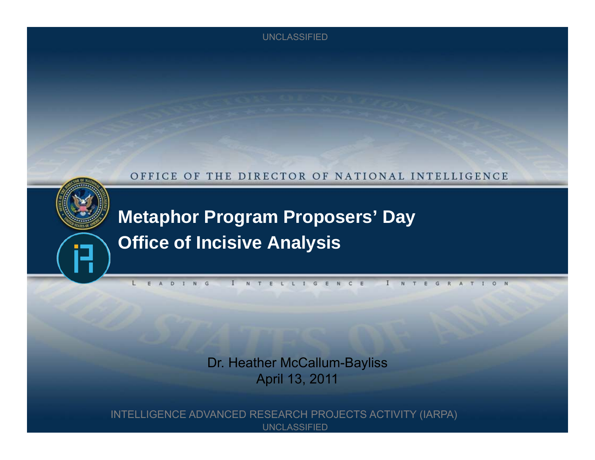#### OFFICE OF THE DIRECTOR OF NATIONAL INTELLIGENCE



**Metaphor Program Proposers' Day Office of Incisive Analysis**

Dr. Heather McCallum-Bayliss April 13, 2011

INTELLIGENCE ADVANCED RESEARCH PROJECTS ACTIVITY (IARPA) UNCLASSIFIED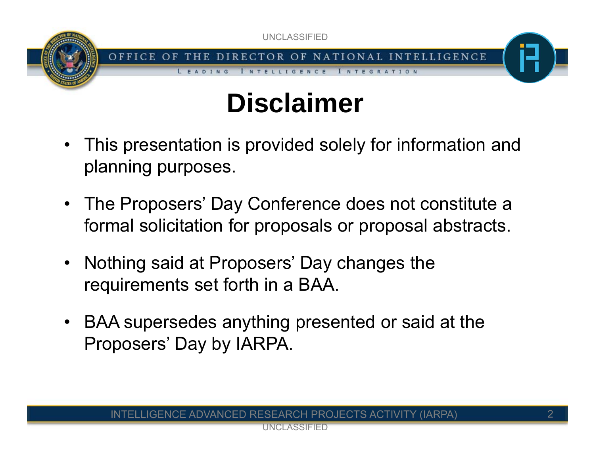

# **Disclaimer**

- This presentation is provided solely for information and planning purposes.
- The Proposers' Day Conference does not constitute a formal solicitation for proposals or proposal abstracts.
- • Nothing said at Proposers' Day changes the requirements set forth in a BAA.
- BAA supersedes anything presented or said at the Proposers' Day by IARPA.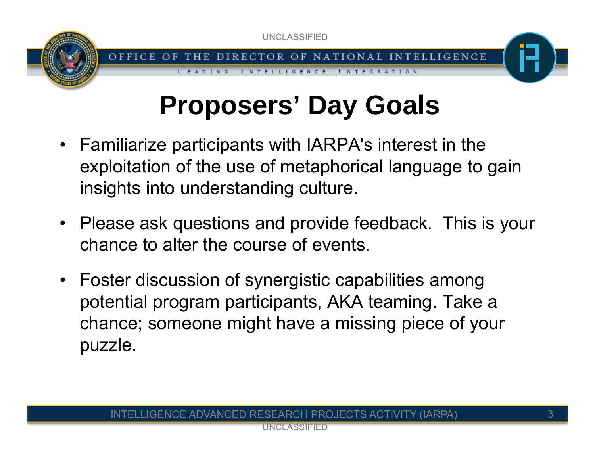

LLIGENCE

# **Proposers' Day Goals**

I N T E G R A T I O N

- Familiarize participants with IARPA's interest in the exploitation of the use of metaphorical language to gain insights into understanding culture.
- Please ask questions and provide feedback. This is your chance to alter the course of events.
- Foster discussion of synergistic capabilities among potential program participants, AKA teaming. Take a chance; someone might have a missing piece of your puzzle.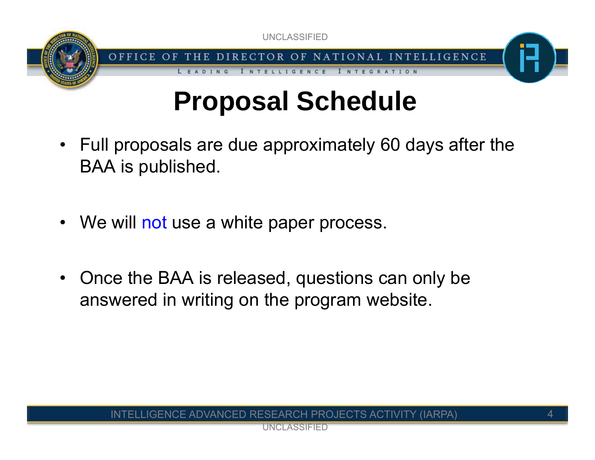



I NTEGRATION

**INTELLIGENCE** 

## **Proposal Schedule**

- Full proposals are due approximately 60 days after the BAA is published.
- We will not use a white paper process.

LEADING

• Once the BAA is released, questions can only be answered in writing on the program website.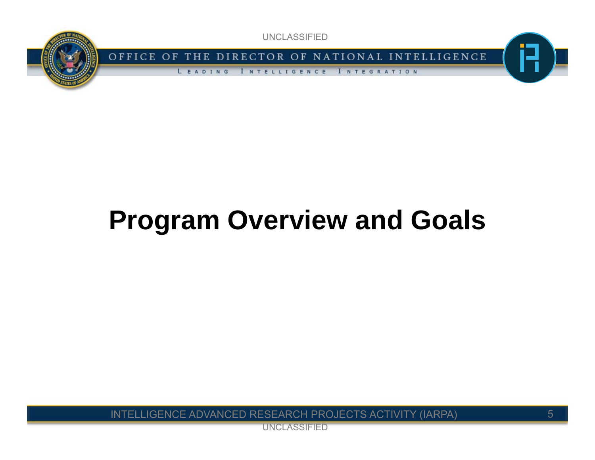

OFFICE OF THE DIRECTOR OF NATIONAL INTELLIGENCE

LEADING **INTELLIGENCE** INTEGRATION

# **Program Overview and Goals**

INTELLIGENCE ADVANCED RESEARCH PROJECTS ACTIVITY (IARPA)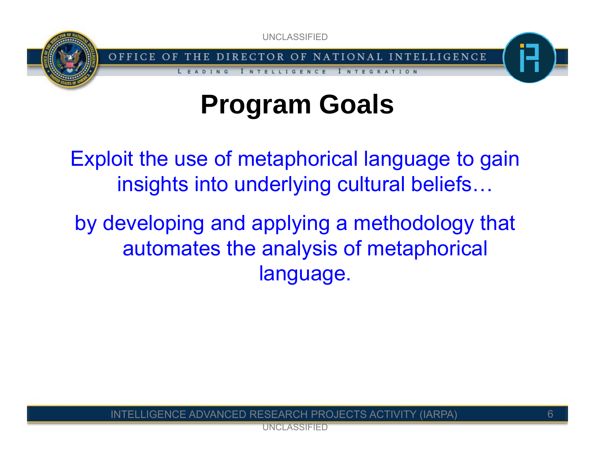

THE DIRECTOR OF NATIONAL INTELLIGENCE OFFICE OF LLIGENCE

I N T E G R A T I O N

# **Program Goals**

Exploit the use of metaphorical language to gain insights into underlying cultural beliefs…

by developing and applying a methodology that automates the analysis of metaphorical language.

LIGENCE ADVANCED RESEARCH PROJECTS ACTIVITY (IARPA)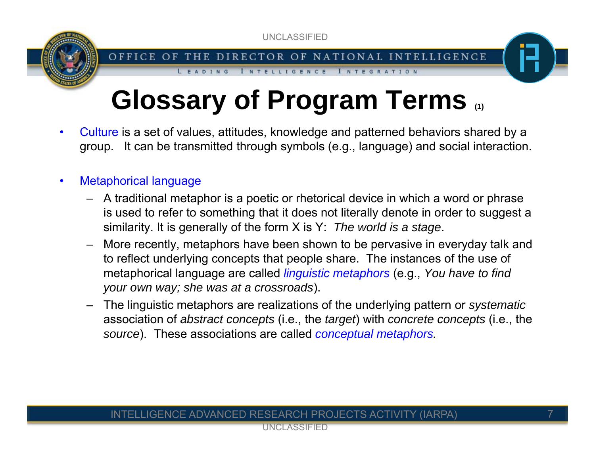

INTEGRATION

**INTELLIGENCE** 

LEADING

# **Glossary of Program Terms (1)**

- • Culture is a set of values, attitudes, knowledge and patterned behaviors shared by a group. It can be transmitted through symbols (e.g., language) and social interaction.
- • Metaphorical language
	- A traditional metaphor is a poetic or rhetorical device in which a word or phrase is used to refer to something that it does not literally denote in order to suggest a similarity. It is generally of the form X is Y: *The world is a stage*.
	- More recently, metaphors have been shown to be pervasive in everyday talk and to reflect underlying concepts that people share. The instances of the use of metaphorical language are called *linguistic metaphors* (e.g., *You have to find your own way; she was at a crossroads*).
	- The linguistic metaphors are realizations of the underlying pattern or *systematic* association of *abstract concepts* (i.e., the *target*) with *concrete concepts* (i.e., the *source*). These associations are called *conceptual metaphors.*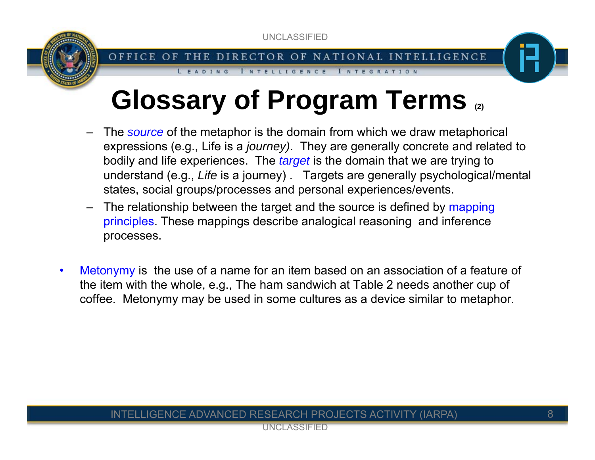

I NTELLIGENCE

LEADING

# **Glossary of Program Terms (2)**

 The *source* of the metaphor is the domain from which we draw metaphorical expressions (e.g., Life is a *journey)*. They are generally concrete and related to bodily and life experiences. The *target* is the domain that we are trying to understand (e.g., *Life* is a journey) . Targets are generally psychological/mental states, social groups/processes and personal experiences/events.

INTEGRATION

- –The relationship between the target and the source is defined by mapping principles. These mappings describe analogical reasoning and inference processes.
- • Metonymy is the use of a name for an item based on an association of a feature of the item with the whole, e.g., The ham sandwich at Table 2 needs another cup of coffee. Metonymy may be used in some cultures as a device similar to metaphor.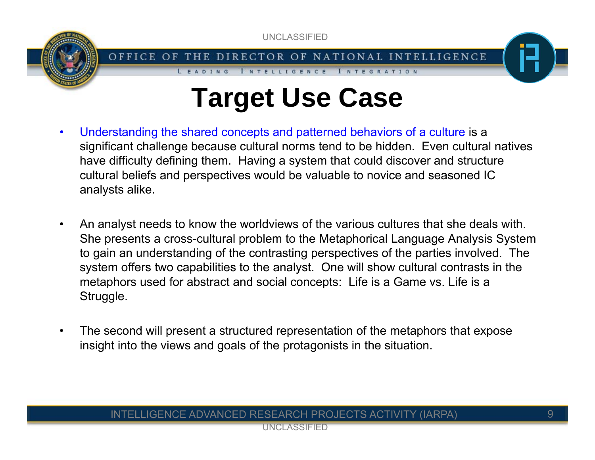

OFFICE OF THE DIRECTOR OF NATIONAL INTELLIGENCE

**INTELLIGENCE** 

LEADING

# **Target Use Case**

I NTEGRATION

- • Understanding the shared concepts and patterned behaviors of a culture is a significant challenge because cultural norms tend to be hidden. Even cultural natives have difficulty defining them. Having a system that could discover and structure cultural beliefs and perspectives would be valuable to novice and seasoned IC analysts alike.
- • An analyst needs to know the worldviews of the various cultures that she deals with. She presents a cross-cultural problem to the Metaphorical Language Analysis System to gain an understanding of the contrasting perspectives of the parties involved. The system offers two capabilities to the analyst. One will show cultural contrasts in the metaphors used for abstract and social concepts: Life is a Game vs. Life is a Struggle.
- • The second will present a structured representation of the metaphors that expose insight into the views and goals of the protagonists in the situation.

#### INTELLIGENCE ADVANCED RESEARCH PROJECTS ACTIVITY (IARPA)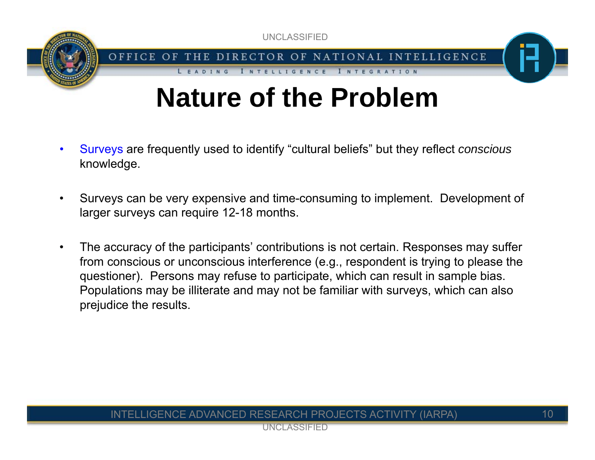

**INTELLIGENCE** 

LEADING

# **Nature of the Problem**

INTEGRATION

- • Surveys are frequently used to identify "cultural beliefs" but they reflect *conscious* knowledge.
- • Surveys can be very expensive and time-consuming to implement. Development of larger surveys can require 12-18 months.
- • The accuracy of the participants' contributions is not certain. Responses may suffer from conscious or unconscious interference (e.g., respondent is trying to please the questioner). Persons may refuse to participate, which can result in sample bias. Populations may be illiterate and may not be familiar with surveys, which can also prejudice the results.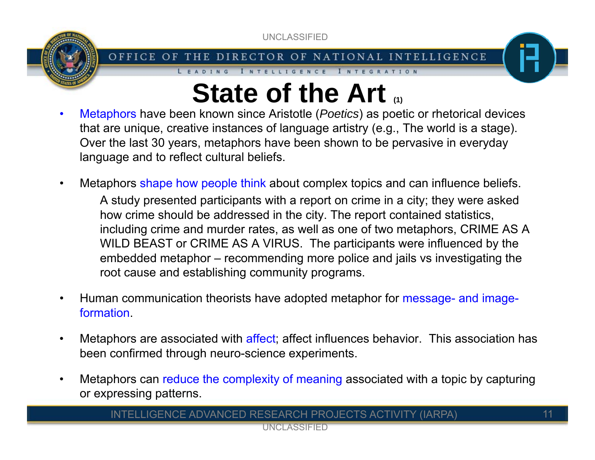

#### OFFICE OF THE DIRECTOR OF NATIONAL INTELLIGENCE

LEADING

INTELLIGENCE INTEGRATION

## **State of the Art**  $\alpha$

- • Metaphors have been known since Aristotle (*Poetics*) as poetic or rhetorical devices that are unique, creative instances of language artistry (e.g., The world is a stage). Over the last 30 years, metaphors have been shown to be pervasive in everyday language and to reflect cultural beliefs.
- • Metaphors shape how people think about complex topics and can influence beliefs. A study presented participants with a report on crime in a city; they were asked how crime should be addressed in the city. The report contained statistics, including crime and murder rates, as well as one of two metaphors, CRIME AS A WILD BEAST or CRIME AS A VIRUS. The participants were influenced by the embedded metaphor – recommending more police and jails vs investigating the root cause and establishing community programs.
- • Human communication theorists have adopted metaphor for message- and imageformation.
- •Metaphors are associated with affect; affect influences behavior. This association has been confirmed through neuro-science experiments.
- • Metaphors can reduce the complexity of meaning associated with a topic by capturing or expressing patterns.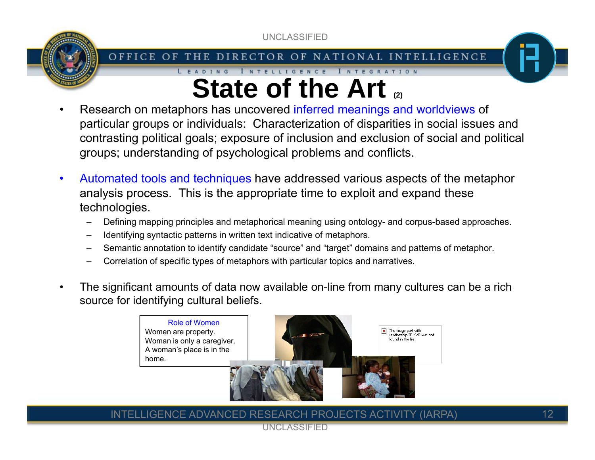

#### OFFICE OF THE DIRECTOR OF NATIONAL INTELLIGENCE

#### INTELLIGENCE INTEGRATION LEADING **State of the Art (2)**

- • Research on metaphors has uncovered inferred meanings and worldviews of particular groups or individuals: Characterization of disparities in social issues and contrasting political goals; exposure of inclusion and exclusion of social and political groups; understanding of psychological problems and conflicts.
- • Automated tools and techniques have addressed various aspects of the metaphor analysis process. This is the appropriate time to exploit and expand these technologies.
	- Defining mapping principles and metaphorical meaning using ontology- and corpus-based approaches.
	- –Identifying syntactic patterns in written text indicative of metaphors.
	- Semantic annotation to identify candidate "source" and "target" domains and patterns of metaphor.
	- –Correlation of specific types of metaphors with particular topics and narratives.
- • The significant amounts of data now available on-line from many cultures can be a rich source for identifying cultural beliefs.



LIGENCE ADVANCED RESEARCH PROJECTS ACTIVITY (IARPA)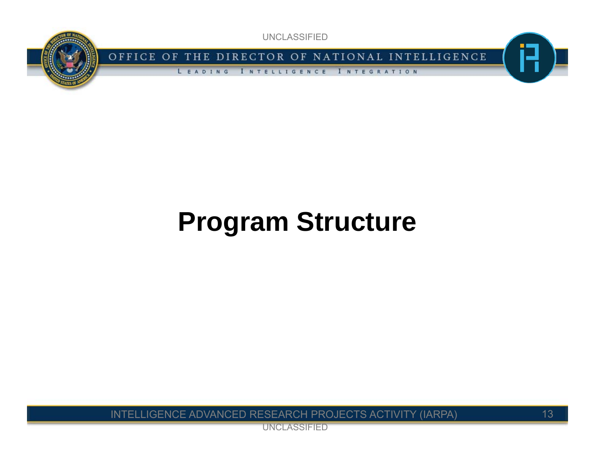

OFFICE OF THE DIRECTOR OF NATIONAL INTELLIGENCE

**INTELLIGENCE** LEADING INTEGRATION

# **Program Structure**

INTELLIGENCE ADVANCED RESEARCH PROJECTS ACTIVITY (IARPA)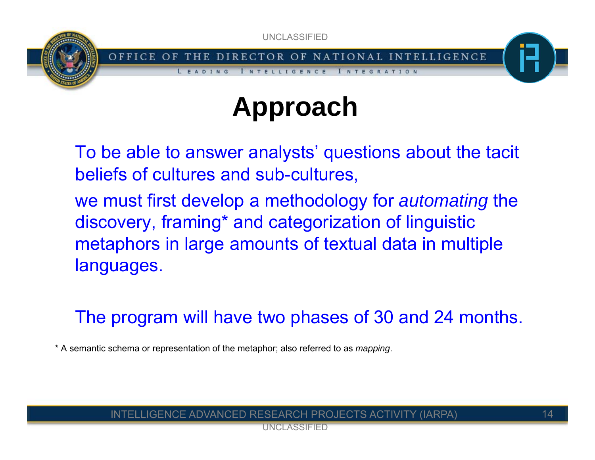OFFICE OF THE DIRECTOR OF NATIONAL INTELLIGENCE LEADING I N T E G R A T I O N IGENCE

# **Approach**

To be able to answer analysts' questions about the tacit beliefs of cultures and sub-cultures,

we must first develop a methodology for *automating* the discovery, framing\* and categorization of linguistic metaphors in large amounts of textual data in multiple languages.

The program will have two phases of 30 and 24 months.

\* A semantic schema or representation of the metaphor; also referred to as *mapping*.

#### LIGENCE ADVANCED RESEARCH PROJECTS ACTIVITY (IARPA).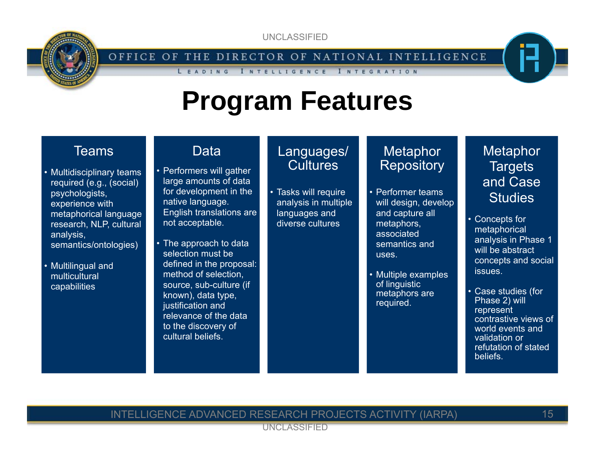

OFFICE OF THE DIRECTOR OF NATIONAL INTELLIGENCE

**INTELLIGENCE** 

### **Program Features**

### Teams

- Multidisciplinary teams required (e.g., (social) psychologists, experience with metaphorical language research, NLP, cultural analysis, semantics/ontologies)
- Multilingual and multicultural capabilities

### **Data**

LEADING

- Performers will gather large amounts of data for development in the native language. English translations are not acceptable.
- The approach to data selection must be defined in the proposal: method of selection, source, sub-culture (if known), data type, justification and relevance of the data to the discovery of cultural beliefs.

### Languages/ **Cultures**

• Tasks will require analysis in multiple languages and diverse cultures

### **Metaphor Repository**

I N T E G R A T I O N

- Performer teams will design, develop and capture all metaphors, associated semantics and uses.
- Multiple examples of linguistic metaphors are required.

### **Metaphor Targets** and Case **Studies**

- Concepts for metaphorical analysis in Phase 1 will be abstract concepts and social issues.
- Case studies (for Phase 2) will represent contrastive views of world events and validation or refutation of stated **beliefs**

#### INTELLIGENCE ADVANCED RESEARCH PROJECTS ACTIVITY (IARPA)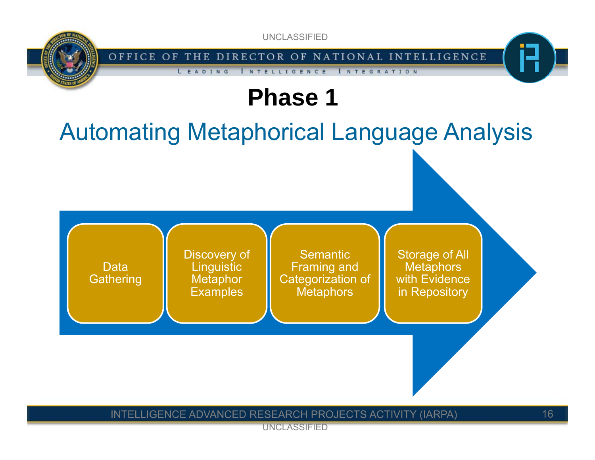OFFICE OF THE DIRECTOR OF NATIONAL INTELLIGENCE

INTEGRATION

### **Phase 1**

**INTELLIGENCE** 

LEADING

### Automating Metaphorical Language Analysis



#### INTELLIGENCE ADVANCED RESEARCH PROJECTS ACTIVITY (IARPA)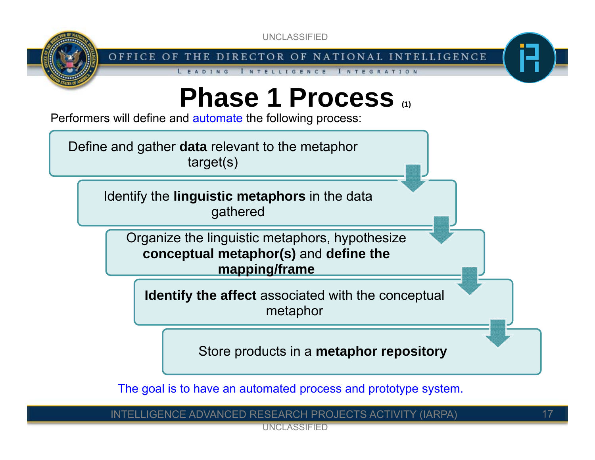

OFFICE OF THE DIRECTOR OF NATIONAL INTELLIGENCE

INTEGRATION

**INTELLIGENCE** 

# **Phase 1 Process (1)**

Performers will define and **automate** the following process:

LEADING

Define and gather **data** relevant to the metaphor target(s)

> Identify the **linguistic metaphors** in the data gathered

Organize the linguistic metaphors, hypothesize **conceptual metaphor(s)** and **define the mapping/frame**

**Identify the affect** associated with the conceptual metaphor

Store products in a **metaphor repository**

The goal is to have an automated process and prototype system.

INTELLIGENCE ADVANCED RESEARCH PROJECTS ACTIVITY (IARPA)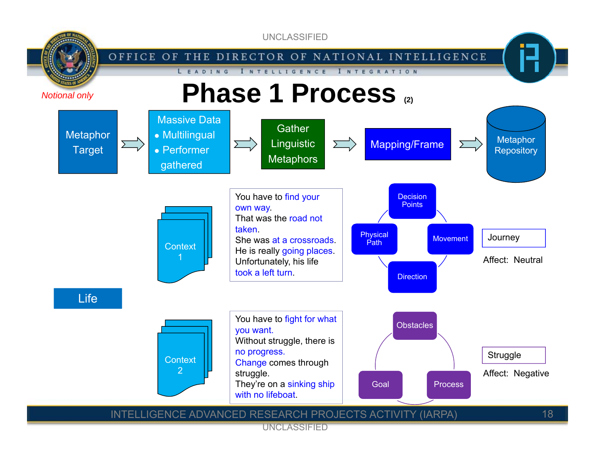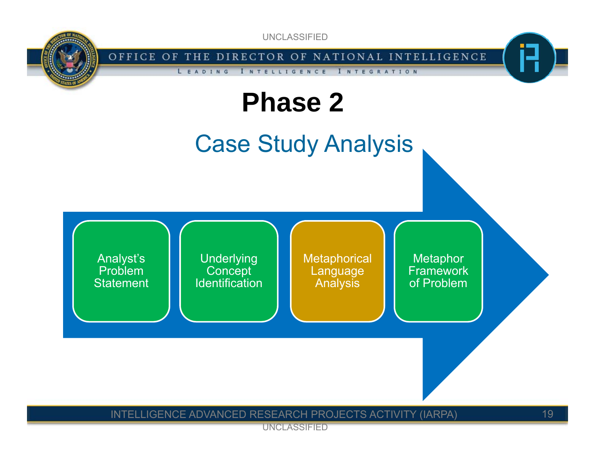

# **Phase 2**

Case Study Analysis

INTEGRATION



#### INTELLIGENCE ADVANCED RESEARCH PROJECTS ACTIVITY (IARPA)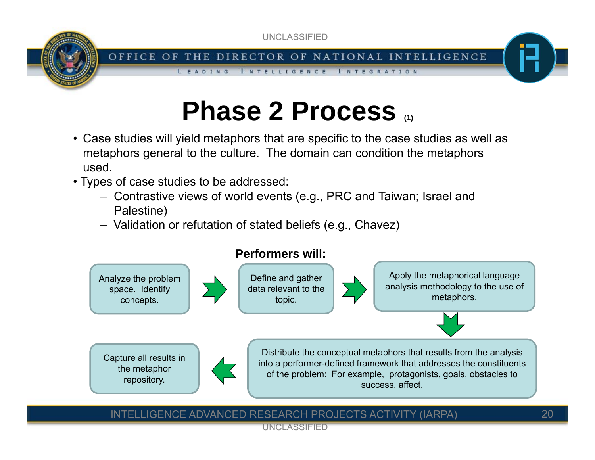

#### OFFICE OF THE DIRECTOR OF NATIONAL INTELLIGENCE

I NTEGRATION

**INTELLIGENCE** 

# **Phase 2 Process (1)**

- Case studies will yield metaphors that are specific to the case studies as well as metaphors general to the culture. The domain can condition the metaphors used.
- Types of case studies to be addressed:

LEADING

- Contrastive views of world events (e.g., PRC and Taiwan; Israel and Palestine)
- Validation or refutation of stated beliefs (e.g., Chavez)



#### INTELLIGENCE ADVANCED RESEARCH PROJECTS ACTIVITY (IARPA)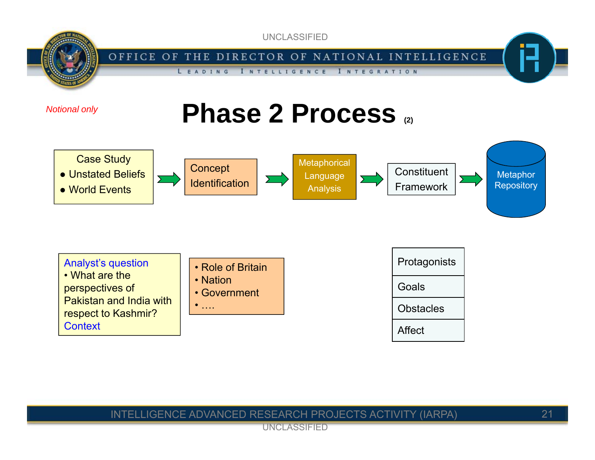







| <b>Analyst's question</b> |  |
|---------------------------|--|
| • What are the            |  |
| perspectives of           |  |

Pakistan and India with respect to Kashmir? **Context** 

- Role of Britain
- Nation
- Government
- ….



#### INTELLIGENCE ADVANCED RESEARCH PROJECTS ACTIVITY (IARPA)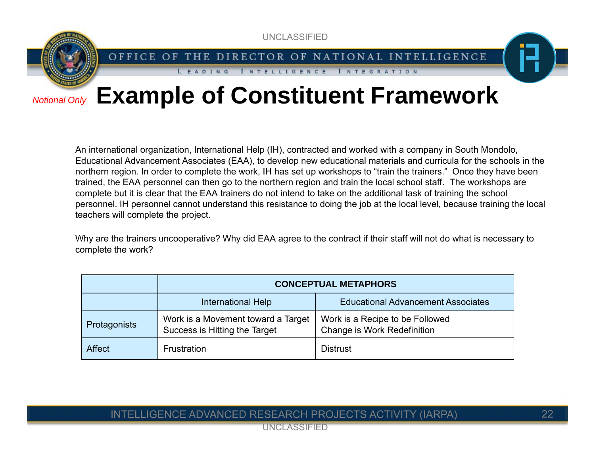OFFICE OF THE DIRECTOR OF NATIONAL INTELLIGENCE

I N T E G R A T I O N

#### *Notional Only*

### **Example of Constituent Framework**

**INTELLIGENCE** 

LEADING

An international organization, International Help (IH), contracted and worked with a company in South Mondolo, Educational Advancement Associates (EAA), to develop new educational materials and curricula for the schools in the northern region. In order to complete the work, IH has set up workshops to "train the trainers." Once they have been trained, the EAA personnel can then go to the northern region and train the local school staff. The workshops are complete but it is clear that the EAA trainers do not intend to take on the additional task of training the school personnel. IH personnel cannot understand this resistance to doing the job at the local level, because training the local teachers will complete the project.

Why are the trainers uncooperative? Why did EAA agree to the contract if their staff will not do what is necessary to complete the work?

|               | <b>CONCEPTUAL METAPHORS</b>                                         |                                                                |  |
|---------------|---------------------------------------------------------------------|----------------------------------------------------------------|--|
|               | International Help                                                  | <b>Educational Advancement Associates</b>                      |  |
| Protagonists  | Work is a Movement toward a Target<br>Success is Hitting the Target | Work is a Recipe to be Followed<br>Change is Work Redefinition |  |
| <b>Affect</b> | Frustration                                                         | <b>Distrust</b>                                                |  |

#### INTELLIGENCE ADVANCED RESEARCH PROJECTS ACTIVITY (IARPA)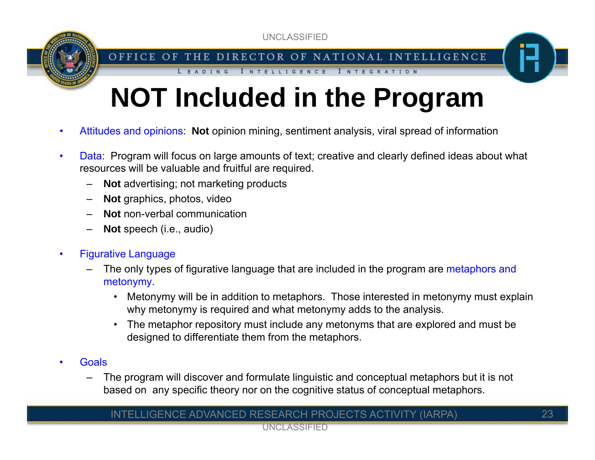OFFICE OF THE DIRECTOR OF NATIONAL INTELLIGENCE

INTELLIGENCE INTEGRATION

# **NOT Included in the Program**

- •Attitudes and opinions: **Not** opinion mining, sentiment analysis, viral spread of information
- • Data: Program will focus on large amounts of text; creative and clearly defined ideas about what resources will be valuable and fruitful are required.
	- –**Not** advertising; not marketing products

LEADING

- –**Not** graphics, photos, video
- –**Not** non-verbal communication
- –**Not** speech (i.e., audio)
- • Figurative Language
	- – The only types of figurative language that are included in the program are metaphors and metonymy.
		- $\bullet$  Metonymy will be in addition to metaphors. Those interested in metonymy must explain why metonymy is required and what metonymy adds to the analysis.
		- • The metaphor repository must include any metonyms that are explored and must be designed to differentiate them from the metaphors.
- •**Goals** 
	- – The program will discover and formulate linguistic and conceptual metaphors but it is not based on any specific theory nor on the cognitive status of conceptual metaphors.

#### INTELLIGENCE ADVANCED RESEARCH PROJECTS ACTIVITY (IARPA)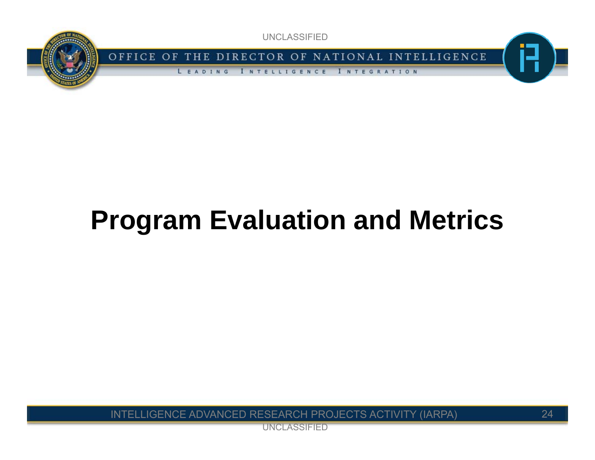

OFFICE OF THE DIRECTOR OF NATIONAL INTELLIGENCE

LEADING **INTELLIGENCE** I NTEGRATION

# **Program Evaluation and Metrics**

INTELLIGENCE ADVANCED RESEARCH PROJECTS ACTIVITY (IARPA)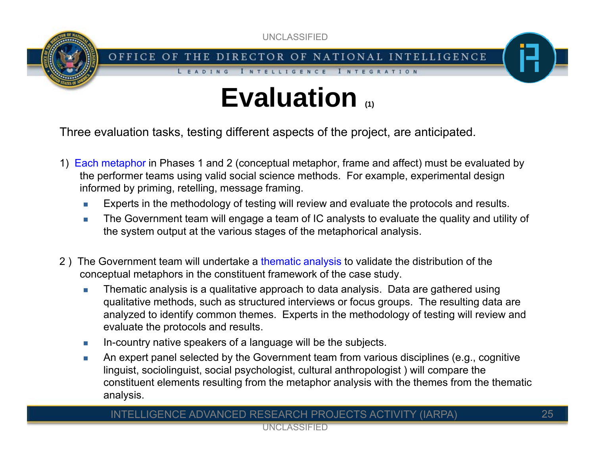OFFICE OF THE DIRECTOR OF NATIONAL INTELLIGENCE

I NTEGRATION

**INTELLIGENCE** 

# **Evaluation (1)**

Three evaluation tasks, testing different aspects of the project, are anticipated.

LEADING

- 1) Each metaphor in Phases 1 and 2 (conceptual metaphor, frame and affect) must be evaluated by the performer teams using valid social science methods. For example, experimental design informed by priming, retelling, message framing.
	- $\mathbb{R}^n$ Experts in the methodology of testing will review and evaluate the protocols and results.
	- $\mathcal{C}^{\mathcal{A}}$  The Government team will engage a team of IC analysts to evaluate the quality and utility of the system output at the various stages of the metaphorical analysis.
- 2) The Government team will undertake a thematic analysis to validate the distribution of the conceptual metaphors in the constituent framework of the case study.
	- m, Thematic analysis is a qualitative approach to data analysis. Data are gathered using qualitative methods, such as structured interviews or focus groups. The resulting data are analyzed to identify common themes. Experts in the methodology of testing will review and evaluate the protocols and results.
	- $\mathcal{C}^{\mathcal{A}}$ In-country native speakers of a language will be the subjects.
	- $\mathcal{C}^{\mathcal{A}}$  An expert panel selected by the Government team from various disciplines (e.g., cognitive linguist, sociolinguist, social psychologist, cultural anthropologist ) will compare the constituent elements resulting from the metaphor analysis with the themes from the thematic analysis.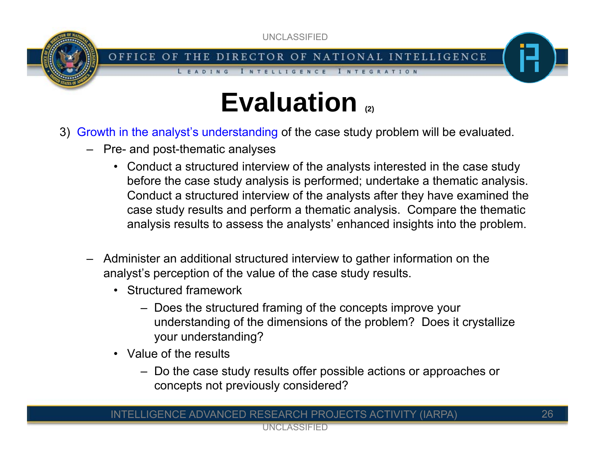

OFFICE OF THE DIRECTOR OF NATIONAL INTELLIGENCE

**INTELLIGENCE** 

# **Evaluation (2)**

- 3) Growth in the analyst's understanding of the case study problem will be evaluated.
	- Pre- and post-thematic analyses

LEADING

• Conduct a structured interview of the analysts interested in the case study before the case study analysis is performed; undertake a thematic analysis. Conduct a structured interview of the analysts after they have examined the case study results and perform a thematic analysis. Compare the thematic analysis results to assess the analysts' enhanced insights into the problem.

I NTEGRATION

- – Administer an additional structured interview to gather information on the analyst's perception of the value of the case study results.
	- Structured framework
		- Does the structured framing of the concepts improve your understanding of the dimensions of the problem? Does it crystallize your understanding?
	- Value of the results
		- Do the case study results offer possible actions or approaches or concepts not previously considered?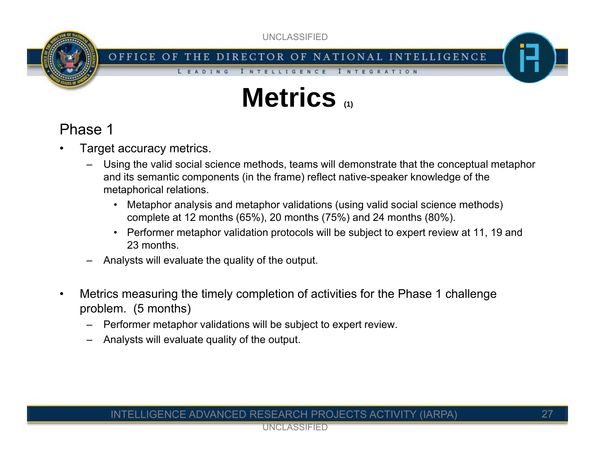OFFICE OF THE DIRECTOR OF NATIONAL INTELLIGENCE

**INTELLIGENCE** 

## **Metrics (1)**

### Phase 1

- • Target accuracy metrics.
	- – Using the valid social science methods, teams will demonstrate that the conceptual metaphor and its semantic components (in the frame) reflect native-speaker knowledge of the metaphorical relations.

INTEGRATION

- $\bullet$  Metaphor analysis and metaphor validations (using valid social science methods) complete at 12 months (65%), 20 months (75%) and 24 months (80%).
- • Performer metaphor validation protocols will be subject to expert review at 11, 19 and 23 months.
- –Analysts will evaluate the quality of the output.

LEADING

- • Metrics measuring the timely completion of activities for the Phase 1 challenge problem. (5 months)
	- –Performer metaphor validations will be subject to expert review.
	- –Analysts will evaluate quality of the output.

#### INTELLIGENCE ADVANCED RESEARCH PROJECTS ACTIVITY (IARPA)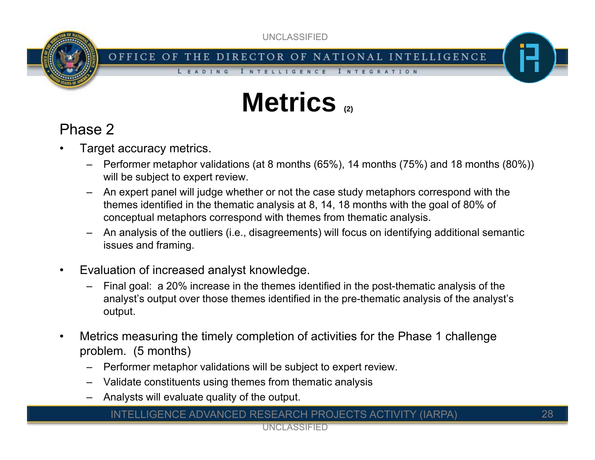OFFICE OF THE DIRECTOR OF NATIONAL INTELLIGENCE

I NTEGRATION

**INTELLIGENCE** 

# **Metrics (2)**

### Phase 2

- • Target accuracy metrics.
	- Performer metaphor validations (at 8 months (65%), 14 months (75%) and 18 months (80%)) will be subject to expert review.
	- – An expert panel will judge whether or not the case study metaphors correspond with the themes identified in the thematic analysis at 8, 14, 18 months with the goal of 80% of conceptual metaphors correspond with themes from thematic analysis.
	- – An analysis of the outliers (i.e., disagreements) will focus on identifying additional semantic issues and framing.
- •Evaluation of increased analyst knowledge.

LEADING

- – Final goal: a 20% increase in the themes identified in the post-thematic analysis of the analyst's output over those themes identified in the pre-thematic analysis of the analyst's output.
- • Metrics measuring the timely completion of activities for the Phase 1 challenge problem. (5 months)
	- Performer metaphor validations will be subject to expert review.
	- –Validate constituents using themes from thematic analysis
	- Analysts will evaluate quality of the output.

#### INTELLIGENCE ADVANCED RESEARCH PROJECTS ACTIVITY (IARPA)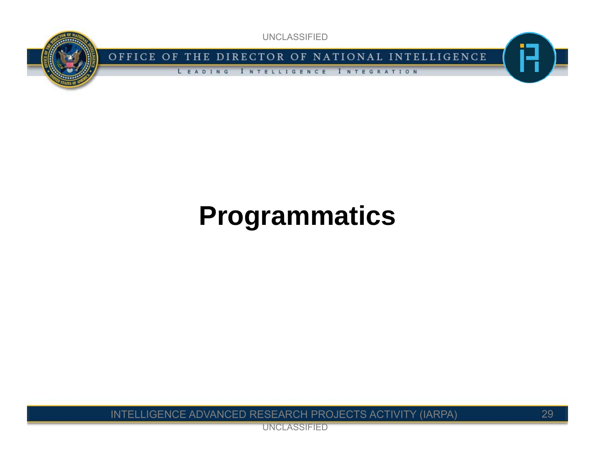

OFFICE OF THE DIRECTOR OF NATIONAL INTELLIGENCE

I NTELLIGENCE I NTEGRATION LEADING

# **Programmatics**

INTELLIGENCE ADVANCED RESEARCH PROJECTS ACTIVITY (IARPA)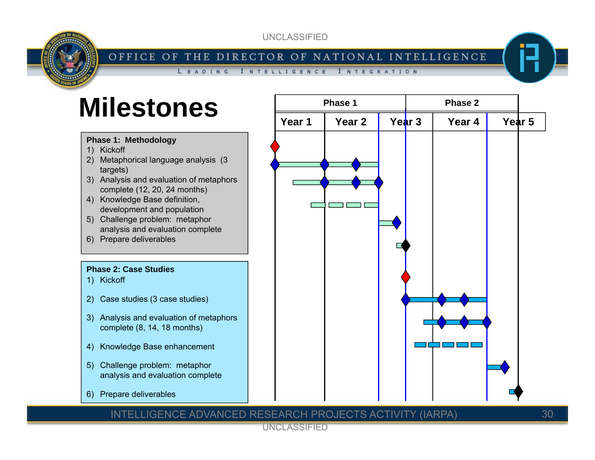#### OFFICE OF THE DIRECTOR OF NATIONAL INTELLIGENCE

LEADING **INTELLIGENCE** I NTEGRATION

### **Milestones**

#### **Phase 1: Methodology**

- 1) Kickoff
- 2) Metaphorical language analysis (3 targets)
- 3) Analysis and evaluation of metaphors complete (12, 20, 24 months)
- 4) Knowledge Base definition, development and population
- 5) Challenge problem: metaphor analysis and evaluation complete
- 6) Prepare deliverables

#### **Phase 2: Case Studies**

- 1) Kickoff
- 2) Case studies (3 case studies)
- 3) Analysis and evaluation of metaphors complete (8, 14, 18 months)
- 4) Knowledge Base enhancement
- 5) Challenge problem: metaphor analysis and evaluation complete
- 6) Prepare deliverables



#### INTELLIGENCE ADVANCED RESEARCH PROJECTS ACTIVITY (IARPA)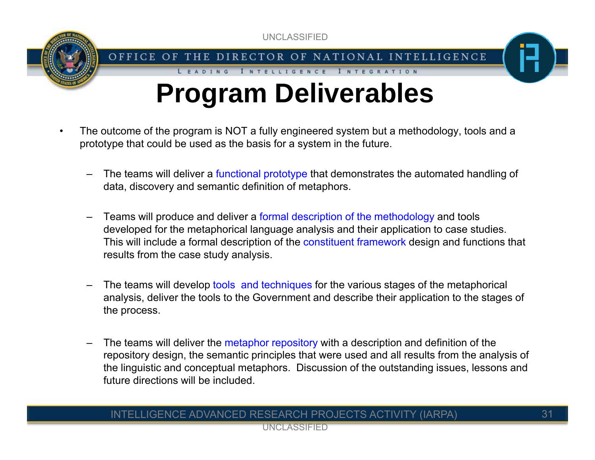

LEADING

# **Program Deliverables**

INTELLIGENCE INTEGRATION

- • The outcome of the program is NOT a fully engineered system but a methodology, tools and a prototype that could be used as the basis for a system in the future.
	- –The teams will deliver a functional prototype that demonstrates the automated handling of data, discovery and semantic definition of metaphors.
	- – Teams will produce and deliver a formal description of the methodology and tools developed for the metaphorical language analysis and their application to case studies. This will include a formal description of the constituent framework design and functions that results from the case study analysis.
	- –The teams will develop tools and techniques for the various stages of the metaphorical analysis, deliver the tools to the Government and describe their application to the stages of the process.
	- – The teams will deliver the metaphor repository with a description and definition of the repository design, the semantic principles that were used and all results from the analysis of the linguistic and conceptual metaphors. Discussion of the outstanding issues, lessons and future directions will be included.

#### INTELLIGENCE ADVANCED RESEARCH PROJECTS ACTIVITY (IARPA)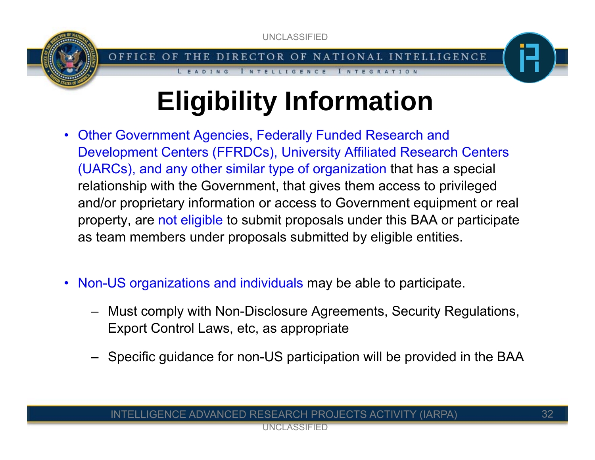

#### OFFICE OF THE DIRECTOR OF NATIONAL INTELLIGENCE

I NTEGRATION

**INTELLIGENCE** 

LEADING

# **Eligibility Information**

- Other Government Agencies, Federally Funded Research and Development Centers (FFRDCs), University Affiliated Research Centers (UARCs), and any other similar type of organization that has a special relationship with the Government, that gives them access to privileged and/or proprietary information or access to Government equipment or real property, are not eligible to submit proposals under this BAA or participate as team members under proposals submitted by eligible entities.
- Non-US organizations and individuals may be able to participate.
	- Must comply with Non-Disclosure Agreements, Security Regulations, Export Control Laws, etc, as appropriate
	- Specific guidance for non-US participation will be provided in the BAA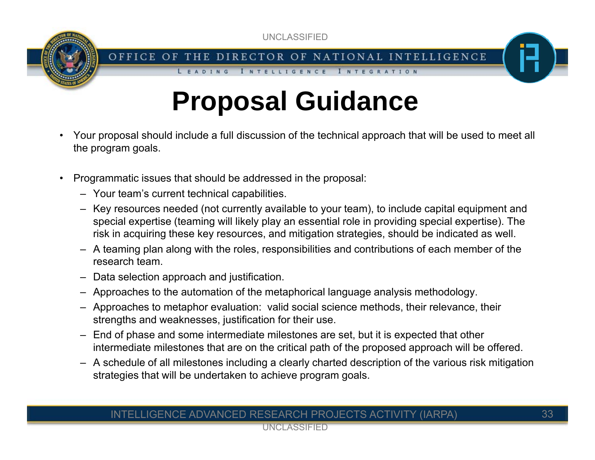

OFFICE OF THE DIRECTOR OF NATIONAL INTELLIGENCE

INTEGRATION

**INTELLIGENCE** 

# **Proposal Guidance**

- • Your proposal should include a full discussion of the technical approach that will be used to meet all the program goals.
- •Programmatic issues that should be addressed in the proposal:

LEADING

- Your team's current technical capabilities.
- Key resources needed (not currently available to your team), to include capital equipment and special expertise (teaming will likely play an essential role in providing special expertise). The risk in acquiring these key resources, and mitigation strategies, should be indicated as well.
- A teaming plan along with the roles, responsibilities and contributions of each member of the research team.
- Data selection approach and justification.
- Approaches to the automation of the metaphorical language analysis methodology.
- Approaches to metaphor evaluation: valid social science methods, their relevance, their strengths and weaknesses, justification for their use.
- End of phase and some intermediate milestones are set, but it is expected that other intermediate milestones that are on the critical path of the proposed approach will be offered.
- A schedule of all milestones including a clearly charted description of the various risk mitigation strategies that will be undertaken to achieve program goals.

#### INTELLIGENCE ADVANCED RESEARCH PROJECTS ACTIVITY (IARPA)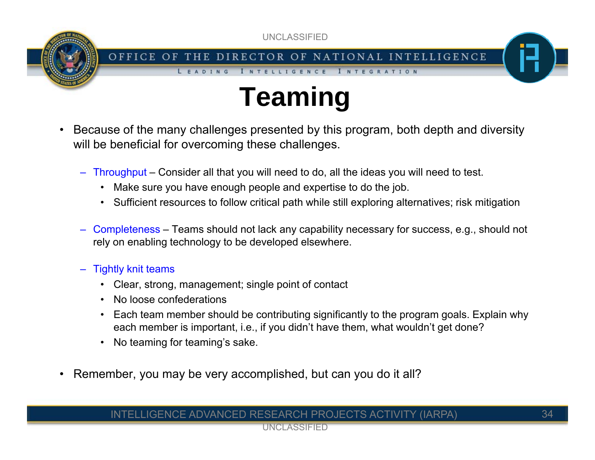

I NTEGRATION

**INTELLIGENCE** 

# **Teaming**

- • Because of the many challenges presented by this program, both depth and diversity will be beneficial for overcoming these challenges.
	- Throughput Consider all that you will need to do, all the ideas you will need to test.
		- Make sure you have enough people and expertise to do the job.
		- Sufficient resources to follow critical path while still exploring alternatives; risk mitigation
	- Completeness Teams should not lack any capability necessary for success, e.g., should not rely on enabling technology to be developed elsewhere.
	- Tightly knit teams
		- Clear, strong, management; single point of contact

LEADING

- $\bullet$ No loose confederations
- • Each team member should be contributing significantly to the program goals. Explain why each member is important, i.e., if you didn't have them, what wouldn't get done?
- •No teaming for teaming's sake.
- •Remember, you may be very accomplished, but can you do it all?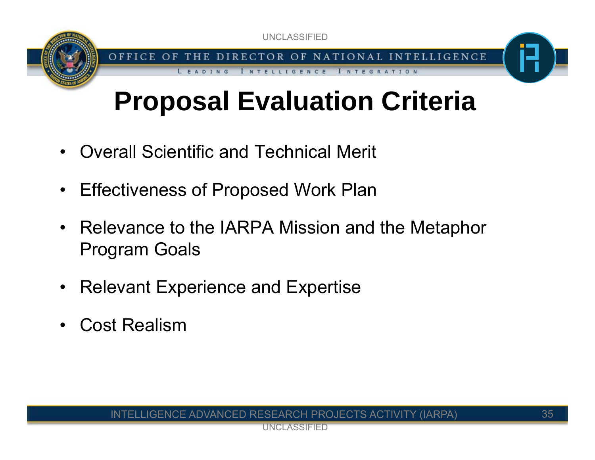OFFICE OF THE DIRECTOR OF NATIONAL INTELLIGENCE

I NTEGRATION

**INTELLIGENCE** 

# **Proposal Evaluation Criteria**

- •Overall Scientific and Technical Merit
- Effectiveness of Proposed Work Plan
- Relevance to the IARPA Mission and the Metaphor Program Goals
- $\bullet$ Relevant Experience and Expertise
- •Cost Realism